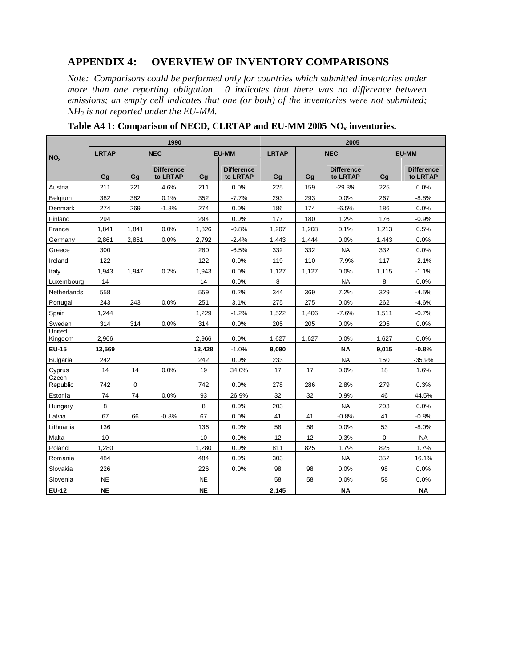## **APPENDIX 4: OVERVIEW OF INVENTORY COMPARISONS**

*Note: Comparisons could be performed only for countries which submitted inventories under more than one reporting obligation. 0 indicates that there was no difference between emissions; an empty cell indicates that one (or both) of the inventories were not submitted; NH<sup>3</sup> is not reported under the EU-MM.*

|                   |              |       | 1990                          |           |                               | 2005         |            |                               |              |                               |  |
|-------------------|--------------|-------|-------------------------------|-----------|-------------------------------|--------------|------------|-------------------------------|--------------|-------------------------------|--|
| NO <sub>x</sub>   | <b>LRTAP</b> |       | <b>NEC</b>                    |           | <b>EU-MM</b>                  | <b>LRTAP</b> | <b>NEC</b> |                               | <b>EU-MM</b> |                               |  |
|                   | Gg           | Gq    | <b>Difference</b><br>to LRTAP | Gg        | <b>Difference</b><br>to LRTAP | Gg           | Gq         | <b>Difference</b><br>to LRTAP | Gg           | <b>Difference</b><br>to LRTAP |  |
| Austria           | 211          | 221   | 4.6%                          | 211       | 0.0%                          | 225          | 159        | $-29.3%$                      | 225          | 0.0%                          |  |
| Belgium           | 382          | 382   | 0.1%                          | 352       | $-7.7%$                       | 293          | 293        | 0.0%                          | 267          | $-8.8%$                       |  |
| Denmark           | 274          | 269   | $-1.8%$                       | 274       | 0.0%                          | 186          | 174        | $-6.5%$                       | 186          | 0.0%                          |  |
| Finland           | 294          |       |                               | 294       | 0.0%                          | 177          | 180        | 1.2%                          | 176          | $-0.9%$                       |  |
| France            | 1,841        | 1,841 | 0.0%                          | 1,826     | $-0.8%$                       | 1,207        | 1,208      | 0.1%                          | 1,213        | 0.5%                          |  |
| Germany           | 2.861        | 2,861 | 0.0%                          | 2.792     | $-2.4%$                       | 1.443        | 1.444      | 0.0%                          | 1.443        | 0.0%                          |  |
| Greece            | 300          |       |                               | 280       | $-6.5%$                       | 332          | 332        | <b>NA</b>                     | 332          | 0.0%                          |  |
| Ireland           | 122          |       |                               | 122       | 0.0%                          | 119          | 110        | $-7.9%$                       | 117          | $-2.1%$                       |  |
| Italy             | 1,943        | 1,947 | 0.2%                          | 1,943     | 0.0%                          | 1,127        | 1,127      | 0.0%                          | 1,115        | $-1.1%$                       |  |
| Luxembourg        | 14           |       |                               | 14        | 0.0%                          | 8            |            | <b>NA</b>                     | 8            | 0.0%                          |  |
| Netherlands       | 558          |       |                               | 559       | 0.2%                          | 344          | 369        | 7.2%                          | 329          | $-4.5%$                       |  |
| Portugal          | 243          | 243   | 0.0%                          | 251       | 3.1%                          | 275          | 275        | 0.0%                          | 262          | $-4.6%$                       |  |
| Spain             | 1.244        |       |                               | 1.229     | $-1.2%$                       | 1.522        | 1,406      | $-7.6%$                       | 1,511        | $-0.7%$                       |  |
| Sweden            | 314          | 314   | 0.0%                          | 314       | 0.0%                          | 205          | 205        | 0.0%                          | 205          | 0.0%                          |  |
| United<br>Kingdom | 2.966        |       |                               | 2.966     | 0.0%                          | 1,627        | 1,627      | 0.0%                          | 1,627        | 0.0%                          |  |
| <b>EU-15</b>      | 13,569       |       |                               | 13,428    | $-1.0%$                       | 9,090        |            | <b>NA</b>                     | 9,015        | $-0.8%$                       |  |
| <b>Bulgaria</b>   | 242          |       |                               | 242       | 0.0%                          | 233          |            | <b>NA</b>                     | 150          | $-35.9%$                      |  |
| Cyprus            | 14           | 14    | 0.0%                          | 19        | 34.0%                         | 17           | 17         | 0.0%                          | 18           | 1.6%                          |  |
| Czech<br>Republic | 742          | 0     |                               | 742       | 0.0%                          | 278          | 286        | 2.8%                          | 279          | 0.3%                          |  |
| Estonia           | 74           | 74    | 0.0%                          | 93        | 26.9%                         | 32           | 32         | 0.9%                          | 46           | 44.5%                         |  |
| Hungary           | 8            |       |                               | 8         | 0.0%                          | 203          |            | <b>NA</b>                     | 203          | 0.0%                          |  |
| Latvia            | 67           | 66    | $-0.8%$                       | 67        | 0.0%                          | 41           | 41         | $-0.8%$                       | 41           | $-0.8%$                       |  |
| Lithuania         | 136          |       |                               | 136       | 0.0%                          | 58           | 58         | 0.0%                          | 53           | $-8.0\%$                      |  |
| Malta             | 10           |       |                               | 10        | 0.0%                          | 12           | 12         | 0.3%                          | 0            | <b>NA</b>                     |  |
| Poland            | 1,280        |       |                               | 1,280     | 0.0%                          | 811          | 825        | 1.7%                          | 825          | 1.7%                          |  |
| Romania           | 484          |       |                               | 484       | 0.0%                          | 303          |            | <b>NA</b>                     | 352          | 16.1%                         |  |
| Slovakia          | 226          |       |                               | 226       | 0.0%                          | 98           | 98         | 0.0%                          | 98           | 0.0%                          |  |
| Slovenia          | <b>NE</b>    |       |                               | <b>NE</b> |                               | 58           | 58         | $0.0\%$                       | 58           | 0.0%                          |  |
| <b>EU-12</b>      | <b>NE</b>    |       |                               | <b>NE</b> |                               | 2,145        |            | <b>NA</b>                     |              | <b>NA</b>                     |  |

**Table A4 1: Comparison of NECD, CLRTAP and EU-MM 2005 NO<sup>x</sup> inventories.**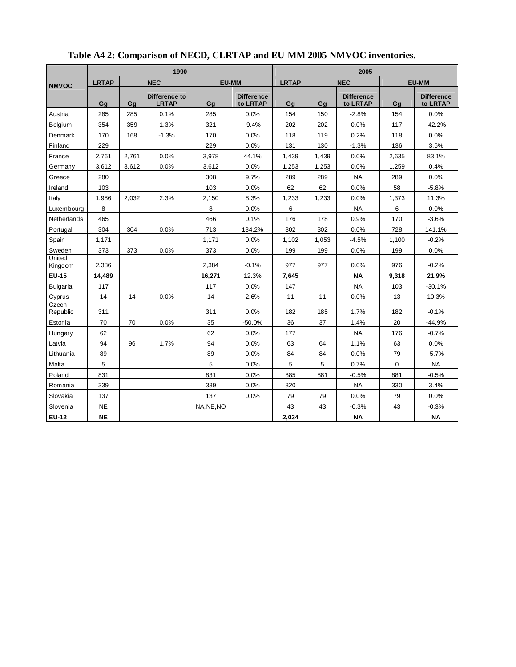|                   |              |       | 1990                          |              |                               | 2005         |            |                               |              |                               |  |
|-------------------|--------------|-------|-------------------------------|--------------|-------------------------------|--------------|------------|-------------------------------|--------------|-------------------------------|--|
| <b>NMVOC</b>      | <b>LRTAP</b> |       | <b>NEC</b>                    | <b>EU-MM</b> |                               | <b>LRTAP</b> | <b>NEC</b> |                               | <b>EU-MM</b> |                               |  |
|                   | Gq           | Ga    | Difference to<br><b>LRTAP</b> | Gq           | <b>Difference</b><br>to LRTAP | Gq           | Gq         | <b>Difference</b><br>to LRTAP | Ga           | <b>Difference</b><br>to LRTAP |  |
| Austria           | 285          | 285   | 0.1%                          | 285          | 0.0%                          | 154          | 150        | $-2.8%$                       | 154          | 0.0%                          |  |
| <b>Belaium</b>    | 354          | 359   | 1.3%                          | 321          | $-9.4%$                       | 202          | 202        | 0.0%                          | 117          | $-42.2%$                      |  |
| Denmark           | 170          | 168   | $-1.3%$                       | 170          | 0.0%                          | 118          | 119        | 0.2%                          | 118          | 0.0%                          |  |
| Finland           | 229          |       |                               | 229          | 0.0%                          | 131          | 130        | $-1.3%$                       | 136          | 3.6%                          |  |
| France            | 2,761        | 2,761 | 0.0%                          | 3,978        | 44.1%                         | 1,439        | 1,439      | 0.0%                          | 2,635        | 83.1%                         |  |
| Germany           | 3,612        | 3,612 | 0.0%                          | 3,612        | 0.0%                          | 1,253        | 1,253      | 0.0%                          | 1,259        | 0.4%                          |  |
| Greece            | 280          |       |                               | 308          | 9.7%                          | 289          | 289        | <b>NA</b>                     | 289          | 0.0%                          |  |
| Ireland           | 103          |       |                               | 103          | 0.0%                          | 62           | 62         | 0.0%                          | 58           | $-5.8%$                       |  |
| Italy             | 1,986        | 2,032 | 2.3%                          | 2,150        | 8.3%                          | 1,233        | 1,233      | 0.0%                          | 1,373        | 11.3%                         |  |
| Luxembourg        | 8            |       |                               | 8            | 0.0%                          | 6            |            | <b>NA</b>                     | 6            | 0.0%                          |  |
| Netherlands       | 465          |       |                               | 466          | 0.1%                          | 176          | 178        | 0.9%                          | 170          | $-3.6%$                       |  |
| Portugal          | 304          | 304   | 0.0%                          | 713          | 134.2%                        | 302          | 302        | 0.0%                          | 728          | 141.1%                        |  |
| Spain             | 1.171        |       |                               | 1.171        | 0.0%                          | 1.102        | 1,053      | $-4.5%$                       | 1.100        | $-0.2%$                       |  |
| Sweden            | 373          | 373   | 0.0%                          | 373          | 0.0%                          | 199          | 199        | 0.0%                          | 199          | 0.0%                          |  |
| United<br>Kingdom | 2,386        |       |                               | 2,384        | $-0.1%$                       | 977          | 977        | 0.0%                          | 976          | $-0.2%$                       |  |
| <b>EU-15</b>      | 14,489       |       |                               | 16,271       | 12.3%                         | 7,645        |            | <b>NA</b>                     | 9,318        | 21.9%                         |  |
| <b>Bulgaria</b>   | 117          |       |                               | 117          | 0.0%                          | 147          |            | <b>NA</b>                     | 103          | $-30.1%$                      |  |
| Cyprus            | 14           | 14    | 0.0%                          | 14           | 2.6%                          | 11           | 11         | 0.0%                          | 13           | 10.3%                         |  |
| Czech<br>Republic | 311          |       |                               | 311          | 0.0%                          | 182          | 185        | 1.7%                          | 182          | $-0.1%$                       |  |
| Estonia           | 70           | 70    | 0.0%                          | 35           | $-50.0%$                      | 36           | 37         | 1.4%                          | 20           | $-44.9%$                      |  |
| Hungary           | 62           |       |                               | 62           | 0.0%                          | 177          |            | <b>NA</b>                     | 176          | $-0.7%$                       |  |
| Latvia            | 94           | 96    | 1.7%                          | 94           | 0.0%                          | 63           | 64         | 1.1%                          | 63           | 0.0%                          |  |
| Lithuania         | 89           |       |                               | 89           | 0.0%                          | 84           | 84         | 0.0%                          | 79           | $-5.7%$                       |  |
| Malta             | 5            |       |                               | 5            | 0.0%                          | 5            | 5          | 0.7%                          | $\mathbf 0$  | <b>NA</b>                     |  |
| Poland            | 831          |       |                               | 831          | 0.0%                          | 885          | 881        | $-0.5%$                       | 881          | $-0.5%$                       |  |
| Romania           | 339          |       |                               | 339          | 0.0%                          | 320          |            | <b>NA</b>                     | 330          | 3.4%                          |  |
| Slovakia          | 137          |       |                               | 137          | 0.0%                          | 79           | 79         | 0.0%                          | 79           | 0.0%                          |  |
| Slovenia          | <b>NE</b>    |       |                               | NA.NE.NO     |                               | 43           | 43         | $-0.3%$                       | 43           | $-0.3%$                       |  |
| <b>EU-12</b>      | <b>NE</b>    |       |                               |              |                               | 2,034        |            | <b>NA</b>                     |              | <b>NA</b>                     |  |

## **Table A4 2: Comparison of NECD, CLRTAP and EU-MM 2005 NMVOC inventories.**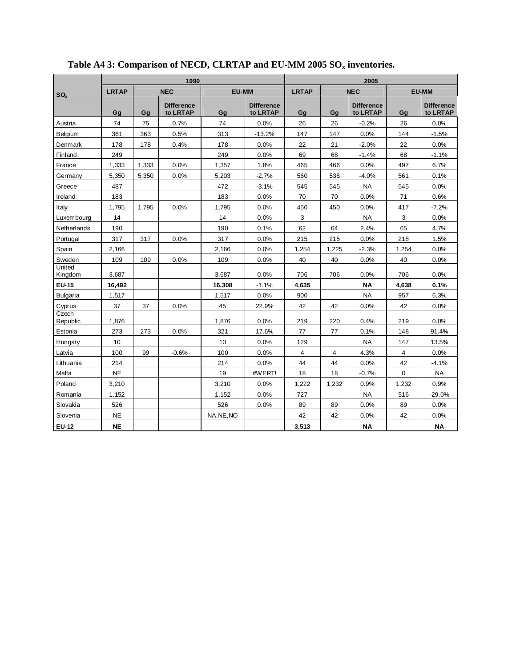|                   |              |       | 1990                          |              | 2005                          |              |            |                               |              |                               |
|-------------------|--------------|-------|-------------------------------|--------------|-------------------------------|--------------|------------|-------------------------------|--------------|-------------------------------|
| SO <sub>x</sub>   | <b>LRTAP</b> |       | <b>NEC</b>                    | <b>EU-MM</b> |                               | <b>LRTAP</b> | <b>NEC</b> |                               | <b>EU-MM</b> |                               |
|                   | Gq           | Ga    | <b>Difference</b><br>to LRTAP | Gq           | <b>Difference</b><br>to LRTAP | Gq           | Ga         | <b>Difference</b><br>to LRTAP | Ga           | <b>Difference</b><br>to LRTAP |
| Austria           | 74           | 75    | 0.7%                          | 74           | 0.0%                          | 26           | 26         | $-0.2%$                       | 26           | 0.0%                          |
| Belgium           | 361          | 363   | 0.5%                          | 313          | $-13.2%$                      | 147          | 147        | 0.0%                          | 144          | $-1.5%$                       |
| Denmark           | 178          | 178   | 0.4%                          | 178          | 0.0%                          | 22           | 21         | $-2.0%$                       | 22           | 0.0%                          |
| Finland           | 249          |       |                               | 249          | 0.0%                          | 69           | 68         | $-1.4%$                       | 68           | $-1.1%$                       |
| France            | 1.333        | 1.333 | 0.0%                          | 1.357        | 1.8%                          | 465          | 466        | 0.0%                          | 497          | 6.7%                          |
| Germany           | 5,350        | 5,350 | 0.0%                          | 5,203        | $-2.7%$                       | 560          | 538        | $-4.0%$                       | 561          | 0.1%                          |
| Greece            | 487          |       |                               | 472          | $-3.1%$                       | 545          | 545        | <b>NA</b>                     | 545          | 0.0%                          |
| Ireland           | 183          |       |                               | 183          | 0.0%                          | 70           | 70         | 0.0%                          | 71           | 0.6%                          |
| Italy             | 1,795        | 1.795 | 0.0%                          | 1,795        | 0.0%                          | 450          | 450        | 0.0%                          | 417          | $-7.2%$                       |
| Luxembourg        | 14           |       |                               | 14           | 0.0%                          | 3            |            | <b>NA</b>                     | 3            | 0.0%                          |
| Netherlands       | 190          |       |                               | 190          | 0.1%                          | 62           | 64         | 2.4%                          | 65           | 4.7%                          |
| Portugal          | 317          | 317   | 0.0%                          | 317          | 0.0%                          | 215          | 215        | 0.0%                          | 218          | 1.5%                          |
| Spain             | 2,166        |       |                               | 2,166        | 0.0%                          | 1,254        | 1,225      | $-2.3%$                       | 1,254        | 0.0%                          |
| Sweden            | 109          | 109   | 0.0%                          | 109          | 0.0%                          | 40           | 40         | 0.0%                          | 40           | 0.0%                          |
| United<br>Kingdom | 3,687        |       |                               | 3.687        | 0.0%                          | 706          | 706        | 0.0%                          | 706          | 0.0%                          |
| EU-15             | 16,492       |       |                               | 16,308       | $-1.1%$                       | 4,635        |            | <b>NA</b>                     | 4,638        | 0.1%                          |
| <b>Bulgaria</b>   | 1,517        |       |                               | 1,517        | 0.0%                          | 900          |            | <b>NA</b>                     | 957          | 6.3%                          |
| Cyprus            | 37           | 37    | 0.0%                          | 45           | 22.9%                         | 42           | 42         | 0.0%                          | 42           | 0.0%                          |
| Czech<br>Republic | 1,876        |       |                               | 1.876        | 0.0%                          | 219          | 220        | 0.4%                          | 219          | 0.0%                          |
| Estonia           | 273          | 273   | 0.0%                          | 321          | 17.6%                         | 77           | 77         | 0.1%                          | 148          | 91.4%                         |
| Hungary           | 10           |       |                               | 10           | 0.0%                          | 129          |            | <b>NA</b>                     | 147          | 13.5%                         |
| Latvia            | 100          | 99    | $-0.6%$                       | 100          | 0.0%                          | 4            | 4          | 4.3%                          | 4            | 0.0%                          |
| Lithuania         | 214          |       |                               | 214          | 0.0%                          | 44           | 44         | 0.0%                          | 42           | $-4.1%$                       |
| Malta             | <b>NE</b>    |       |                               | 19           | #WERT!                        | 18           | 18         | $-0.7%$                       | $\Omega$     | <b>NA</b>                     |
| Poland            | 3.210        |       |                               | 3,210        | 0.0%                          | 1,222        | 1,232      | 0.9%                          | 1.232        | 0.9%                          |
| Romania           | 1,152        |       |                               | 1,152        | 0.0%                          | 727          |            | <b>NA</b>                     | 516          | $-29.0%$                      |
| Slovakia          | 526          |       |                               | 526          | 0.0%                          | 89           | 89         | 0.0%                          | 89           | 0.0%                          |
| Slovenia          | <b>NE</b>    |       |                               | NA, NE, NO   |                               | 42           | 42         | 0.0%                          | 42           | 0.0%                          |
| <b>EU-12</b>      | <b>NE</b>    |       |                               |              |                               | 3,513        |            | ΝA                            |              | <b>NA</b>                     |

## **Table A4 3: Comparison of NECD, CLRTAP and EU-MM 2005 SO<sup>x</sup> inventories.**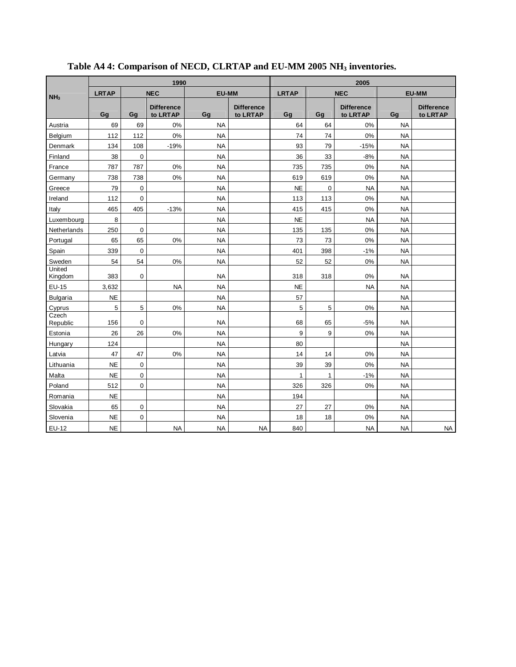|                   |              | 1990           |                               |              | 2005                          |              |             |                               |              |                               |
|-------------------|--------------|----------------|-------------------------------|--------------|-------------------------------|--------------|-------------|-------------------------------|--------------|-------------------------------|
| NH <sub>3</sub>   | <b>LRTAP</b> |                | <b>NEC</b>                    | <b>EU-MM</b> |                               | <b>LRTAP</b> | <b>NEC</b>  |                               | <b>EU-MM</b> |                               |
|                   | Gq           | Gq             | <b>Difference</b><br>to LRTAP | Gq           | <b>Difference</b><br>to LRTAP | Gg           | Gq          | <b>Difference</b><br>to LRTAP | Gq           | <b>Difference</b><br>to LRTAP |
| Austria           | 69           | 69             | 0%                            | <b>NA</b>    |                               | 64           | 64          | 0%                            | <b>NA</b>    |                               |
| Belgium           | 112          | 112            | 0%                            | <b>NA</b>    |                               | 74           | 74          | 0%                            | <b>NA</b>    |                               |
| Denmark           | 134          | 108            | $-19%$                        | <b>NA</b>    |                               | 93           | 79          | $-15%$                        | <b>NA</b>    |                               |
| Finland           | 38           | $\overline{0}$ |                               | <b>NA</b>    |                               | 36           | 33          | $-8%$                         | <b>NA</b>    |                               |
| France            | 787          | 787            | 0%                            | <b>NA</b>    |                               | 735          | 735         | 0%                            | <b>NA</b>    |                               |
| Germany           | 738          | 738            | 0%                            | <b>NA</b>    |                               | 619          | 619         | 0%                            | <b>NA</b>    |                               |
| Greece            | 79           | $\mathbf 0$    |                               | <b>NA</b>    |                               | <b>NE</b>    | $\mathbf 0$ | <b>NA</b>                     | <b>NA</b>    |                               |
| Ireland           | 112          | $\mathbf 0$    |                               | <b>NA</b>    |                               | 113          | 113         | 0%                            | <b>NA</b>    |                               |
| Italy             | 465          | 405            | $-13%$                        | <b>NA</b>    |                               | 415          | 415         | 0%                            | <b>NA</b>    |                               |
| Luxembourg        | 8            |                |                               | <b>NA</b>    |                               | <b>NE</b>    |             | <b>NA</b>                     | <b>NA</b>    |                               |
| Netherlands       | 250          | $\mathbf 0$    |                               | <b>NA</b>    |                               | 135          | 135         | 0%                            | <b>NA</b>    |                               |
| Portugal          | 65           | 65             | 0%                            | <b>NA</b>    |                               | 73           | 73          | 0%                            | <b>NA</b>    |                               |
| Spain             | 339          | $\mathbf 0$    |                               | <b>NA</b>    |                               | 401          | 398         | $-1%$                         | <b>NA</b>    |                               |
| Sweden            | 54           | 54             | 0%                            | <b>NA</b>    |                               | 52           | 52          | 0%                            | <b>NA</b>    |                               |
| United<br>Kingdom | 383          | $\mathbf 0$    |                               | <b>NA</b>    |                               | 318          | 318         | 0%                            | <b>NA</b>    |                               |
| EU-15             | 3,632        |                | <b>NA</b>                     | <b>NA</b>    |                               | <b>NE</b>    |             | <b>NA</b>                     | <b>NA</b>    |                               |
| <b>Bulgaria</b>   | <b>NE</b>    |                |                               | <b>NA</b>    |                               | 57           |             |                               | <b>NA</b>    |                               |
| Cyprus            | 5            | 5              | 0%                            | <b>NA</b>    |                               | 5            | 5           | 0%                            | <b>NA</b>    |                               |
| Czech<br>Republic | 156          | $\mathbf 0$    |                               | <b>NA</b>    |                               | 68           | 65          | $-5%$                         | <b>NA</b>    |                               |
| Estonia           | 26           | 26             | 0%                            | <b>NA</b>    |                               | 9            | 9           | 0%                            | <b>NA</b>    |                               |
| Hungary           | 124          |                |                               | <b>NA</b>    |                               | 80           |             |                               | <b>NA</b>    |                               |
| Latvia            | 47           | 47             | 0%                            | <b>NA</b>    |                               | 14           | 14          | 0%                            | <b>NA</b>    |                               |
| Lithuania         | <b>NE</b>    | 0              |                               | <b>NA</b>    |                               | 39           | 39          | 0%                            | <b>NA</b>    |                               |
| Malta             | <b>NE</b>    | 0              |                               | <b>NA</b>    |                               | 1            | 1           | $-1%$                         | <b>NA</b>    |                               |
| Poland            | 512          | $\overline{0}$ |                               | <b>NA</b>    |                               | 326          | 326         | $0\%$                         | <b>NA</b>    |                               |
| Romania           | <b>NE</b>    |                |                               | <b>NA</b>    |                               | 194          |             |                               | <b>NA</b>    |                               |
| Slovakia          | 65           | $\mathbf 0$    |                               | <b>NA</b>    |                               | 27           | 27          | 0%                            | <b>NA</b>    |                               |
| Slovenia          | <b>NE</b>    | $\overline{0}$ |                               | <b>NA</b>    |                               | 18           | 18          | 0%                            | <b>NA</b>    |                               |
| EU-12             | <b>NE</b>    |                | <b>NA</b>                     | <b>NA</b>    | <b>NA</b>                     | 840          |             | <b>NA</b>                     | <b>NA</b>    | <b>NA</b>                     |

**Table A4 4: Comparison of NECD, CLRTAP and EU-MM 2005 NH<sup>3</sup> inventories.**